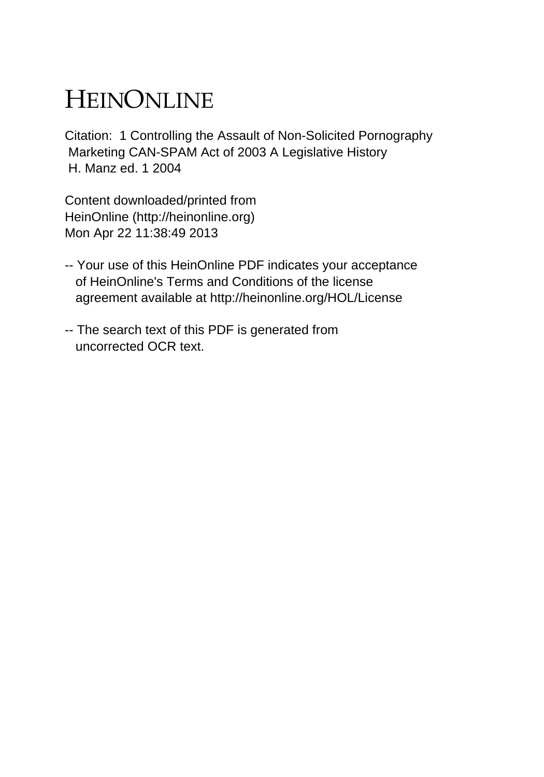# HEINONLINE

Citation: 1 Controlling the Assault of Non-Solicited Pornography Marketing CAN-SPAM Act of 2003 A Legislative History H. Manz ed. 1 2004

Content downloaded/printed from HeinOnline (http://heinonline.org) Mon Apr 22 11:38:49 2013

- -- Your use of this HeinOnline PDF indicates your acceptance of HeinOnline's Terms and Conditions of the license agreement available at http://heinonline.org/HOL/License
- -- The search text of this PDF is generated from uncorrected OCR text.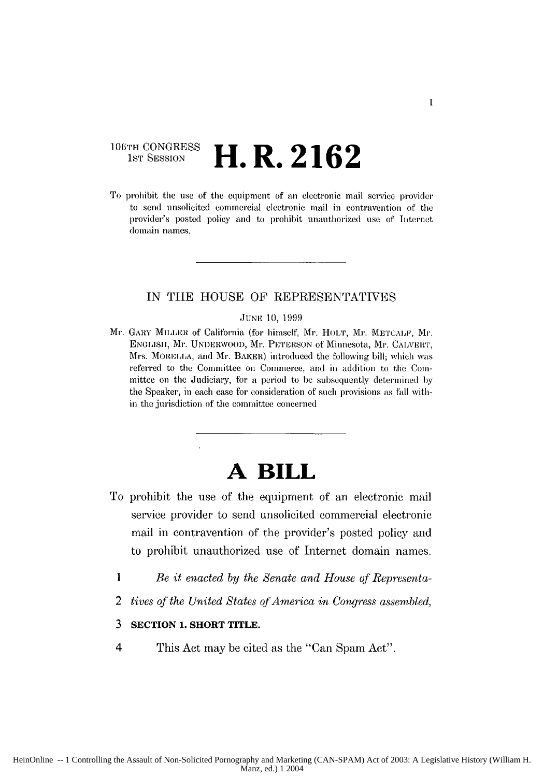### **106TH CONGRESS H.R. 2162**

To prohibit tie use of the equipment *of* au electronic mail serxice proider to send unsolicited commercial electronic mail in contravention of the provider's posted policy and to prohibit unauthorized use of Internet domain names.

#### **IN THE HOUSE** OF REPRESENTATIVES

#### JUNE 10, 1999

Mr. GARY MIILER of California (for himself, Mr. HOLT, Mr. METCALF, Mr. ENGLISH, Mr. UNDERWOOD, Mr. PITEISON **of** Minnesota, Mr. CALVERT, Mrs. MORELLA, and Mr. BAKER) introduced the following bill; which was referrel to the Committee on Commerce, and in addition to the Committee on the Judiciary, for a period to be subsequently determined **by** the Speaker, in each case *for* consideration of such provisions as fall within the jurisdiction of the committee concerned

## **A BILL**

- To prohibit the use of the equipment of an electronic mail service provider to send unsolicited commercial electronic mail in contravention of the provider's posted policy and to prohibit unauthorized use of Internet domain names.
	- *1 Be it enacted by the Senate and House of Representa-*
	- 2 *tives of the United States qfAmerica in Congress assembled,*
	- **3 SECTION 1. SHORT TITLE.**
	- 4 This Act may be cited as the "Can Spam Act".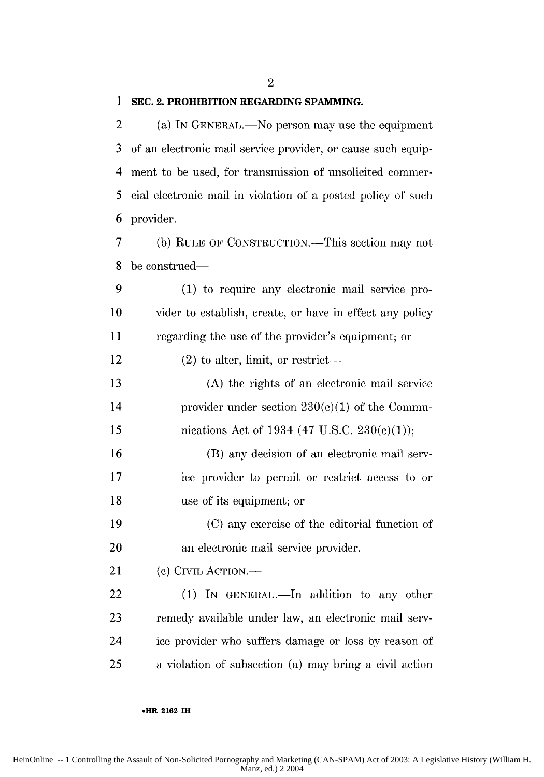2

#### **1 SEC. 2. PROHIBITION REGARDING SPAMMING.**

2 (a) IN GENERAL.—No person may use the equipment 3 of an electronic mail service provider, or cause such equip-4 ment to be used, for transmission of unsolicited commer-5 cial electronic mail in violation of a posted policy of such 6 provider.

7 **(b)** RULE OF CONSTRUCTION.-This section may not 8 be construed-

9 (1) to require any electronic mail service pro-**10** vider to establish, create, or have in effect any policy 11 regarding the use of the provider's equipment; or 12 (2) to alter, limit, or restrict-13 (A) the rights of an electronic mail service 14 provider under section  $230(c)(1)$  of the Commu-15 nications Act of 1934 (47 U.S.C. 230(c)(1)); 16 (B) any decision of an electronic mail serv-17 ice provider to permit or restrict access to or

18 use of its equipment; or

19 (C) any exercise of the editorial function of 20 an electronic mail service provider.

21 (c) CIVIL ACTION.—

22 (1) In GENERAL.—In addition to any other 23 remedy available under law, an electronic mail serv-24 ice provider who suffers damage or loss by reason of 25 a violation of subsection (a) may bring a cixil action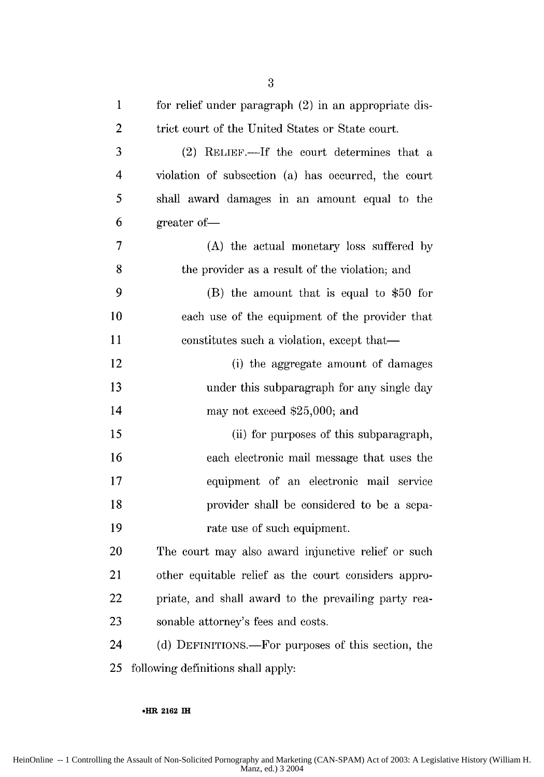| $\mathbf 1$    | for relief under paragraph (2) in an appropriate dis- |
|----------------|-------------------------------------------------------|
| $\overline{2}$ | trict court of the United States or State court.      |
| 3              | (2) RELIEF.—If the court determines that a            |
| 4              | violation of subsection (a) has occurred, the court   |
| 5              | shall award damages in an amount equal to the         |
| 6              | greater of-                                           |
| 7              | (A) the actual monetary loss suffered by              |
| 8              | the provider as a result of the violation; and        |
| 9              | $(B)$ the amount that is equal to \$50 for            |
| 10             | each use of the equipment of the provider that        |
| 11             | constitutes such a violation, except that—            |
| 12             | (i) the aggregate amount of damages                   |
| 13             | under this subparagraph for any single day            |
| 14             | may not exceed \$25,000; and                          |
| 15             | (ii) for purposes of this subparagraph,               |
| 16             | each electronic mail message that uses the            |
| 17             | equipment of an electronic mail service               |
| 18             | provider shall be considered to be a sepa-            |
| 19             | rate use of such equipment.                           |
| 20             | The court may also award injunctive relief or such    |
| 21             | other equitable relief as the court considers appro-  |
| 22             | priate, and shall award to the prevailing party rea-  |
| 23             | sonable attorney's fees and costs.                    |
| 24             | (d) DEFINITIONS.—For purposes of this section, the    |
| 25             | following definitions shall apply:                    |

#### **\*HR 2162 IH**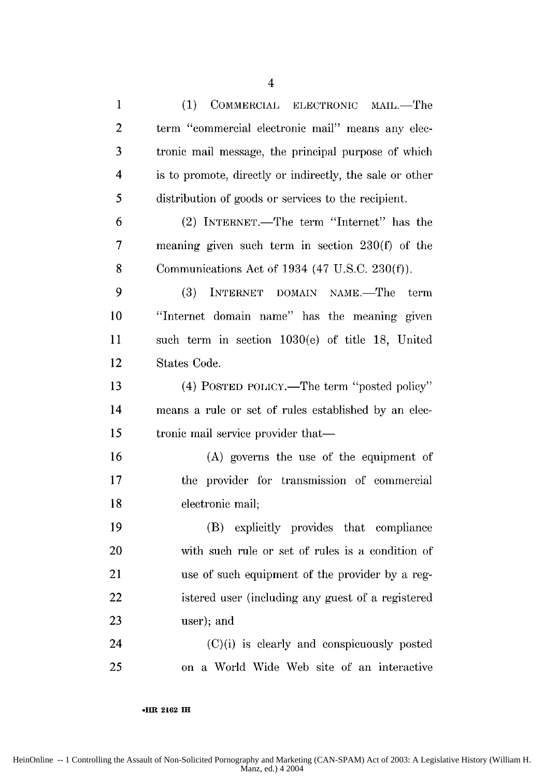1 (1) COMMERCIAL ELECTRONIC MAIL.—The 2 term "commercial electronic mail" means any elec-**3** tronic mail message, the principal purpose of which 4 is to promote, directly or indirectly, the sale or other 5 distribution of goods or services to the recipient. 6 (2) INTERNET.-The term "Internet" has the 7 meaning given such term in section 230(f) of the **8** Communications Act of 1934 (47 U.S.C. **230(f)).** 9 (3) INTERNET DOMAIN NAME.—The term **10** "Internet domain name" has the meaning given 11 such term in section 1030(e) of title 18, United 12 States Code. 13 **13 13 (4) POSTED POLICY.—The term "posted policy"** 14 means a rule or set of rules established by an elec-15 tronic mail service provider that— 16 (A) governs the use of the equipment of 17 the provider for transmission of commercial **18** electronic mail; 19 (B) explicitly provides that compliance 20 with such rule or set of rules is a condition of 21 use of such equipment of the provider by a reg-22 istered user (including any guest of a registered **23** user); and  $24$  (C)(i) is clearly and conspicuously posted 25 on a World Wide Web site of an interactive

**oHR 2162 IH**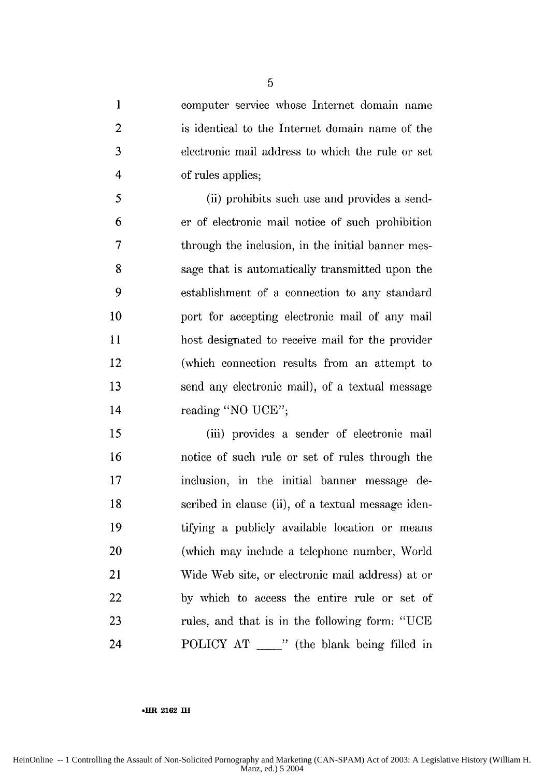1 computer service whose Internet domain name 2 is identical to the Internet domain name of the 3 electronic mail address to which the rule or set 4 of rules applies;

5 (ii) prohibits such use and provides a send-6 er of electronic mail notice of such prohibition 7 through the inclusion, in the initial banner mes-**8** sage that is automatically transmitted upon the 9 establishment of a connection to any standard 10 port for accepting electronic mail of any mail 11 host designated to receive mail for the provider 12 (which connection results from an attempt to 13 send any electronic mail), of a textual message 14 reading "NO UCE";

15 (iii) provides a sender of electronic mail 16 notice of such rule or set of rules through the 17 inclusion, in the initial banner message de-18 scribed in clause (ii), of a textual message iden-19 tifying a publicly available location or means 20 (which may include a telephone number, World 21 Wide Web site, or electronic mail address) at or 22 by which to access the entire rule or set of 23 rules, and that is in the following form: "UCE 24 POLICY AT " (the blank being filled in

#### **.HR** 2162 **IH**

5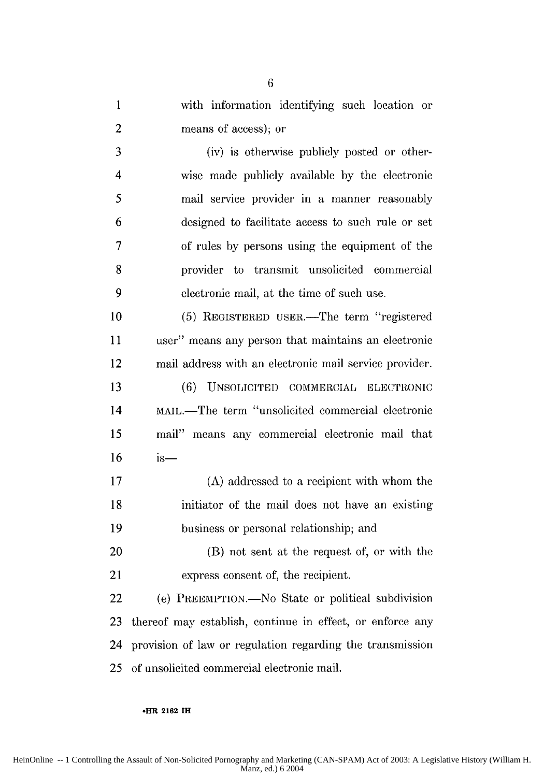1 with information identifying such location or 2 means of access); or

3 (iv) is otherwise publicly posted or other-4 wise made publicly available by the electronic *5* mail service provider in a manner reasonably 6 designed to facilitate access to such rule or set 7 of rules by persons using the equipment of the 8 provider to transmit unsolicited commercial 9 electronic mail, at the time of such use.

10 (5) REGISTERED USER.—The term "registered 11 user" means any person that maintains an electronic 12 mail address with an electronic mail service provider.

13 (6) UNSOLICITEI COMMERCIAL ELECTRONIC 14 MAIL.—The term "unsolicited commercial electronic *15* mail" means any commercial electronic mail that **16** is-

17 (A) addressed to a recipient with whom the 18 initiator of the mail does not have an existing 19 business or personal relationship; and

20 (B) not sent at the request of, or with the 21 express consent of, the recipient.

22 (e) PREEMPTION.—No State or political subdivision **23** thereof may establish, continue in effect, or enforce any 24 provision of law or regulation regarding the transmission 25 of unsolicited commercial electronic mail.

**.HR 2162 IH**

6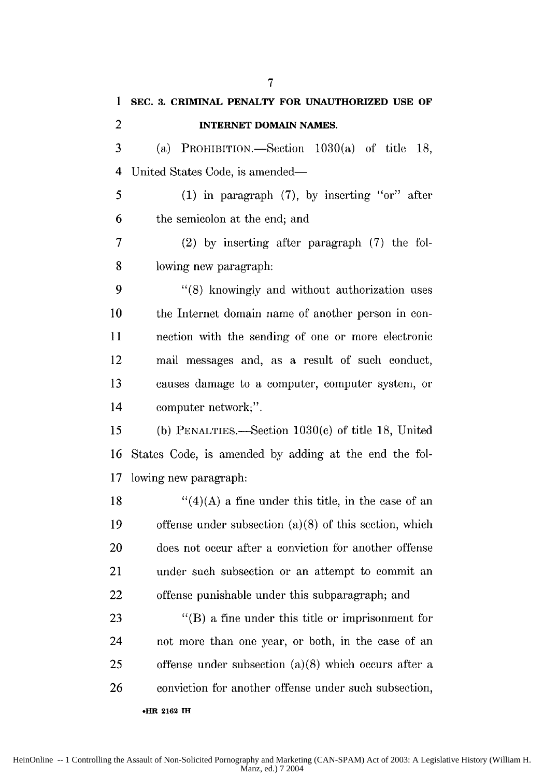**1 SEC. 3. CRIMINAL PENALTY FOR UNAUTHORIZED USE OF** 2 **INTERNET DOMAIN NAMES.**  $3$  (a) PROHIBITION.—Section 1030(a) of title 18, 4 United States Code, is amended— 5 (1) in paragraph (7), by inserting "or" after 6 the semicolon at the end; and 7 (2) by inserting after paragraph (7) the fol-**8** lowing new paragraph: 9 "(8) knowingly and without authorization uses 10 the Internet domain name of another person in con-11 nection with the sending of one or more electronic 12 mail messages and, as a result of such conduct, 13 causes damage to a computer, computer system, or 14 computer network;". 15 (b) PENALTIES.-Section 1030(c) of title 18, United 16 States Code, is amended by adding at the end the fol-17 lowing new paragraph: 18  $\frac{1}{2}(4)(A)$  a fine under this title, in the case of an 19 offense under subsection (a)(8) of this section, which 20 does not occur after a conviction for another offense 21 under such subsection or an attempt to commit an 22 offense punishable under this subparagraph; and 23 "(B) a fine under this title or imprisonment for 24 not more than one year, or both, in the case of an 25 offense under subsection (a)(8) which occurs after a 26 conviction for another offense under such subsection,

7

**-HR 2162 TI**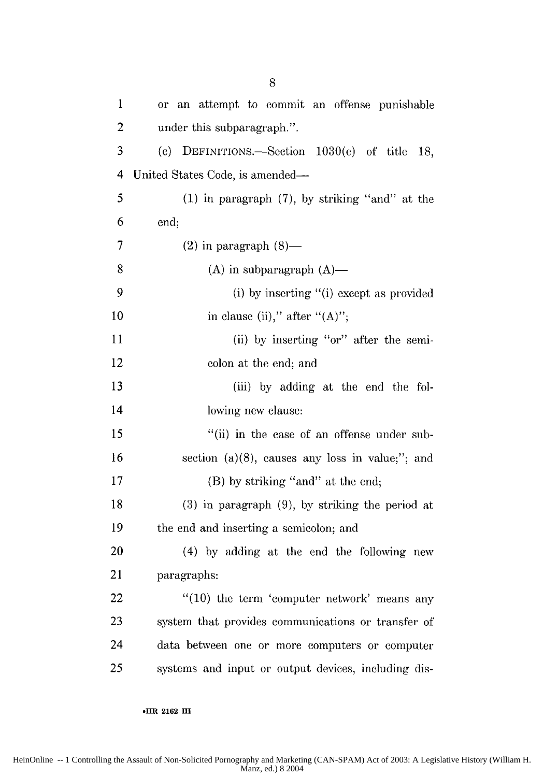| $\mathbf{1}$   | or an attempt to commit an offense punishable        |
|----------------|------------------------------------------------------|
| $\overline{2}$ | under this subparagraph.".                           |
| 3              | (c) DEFINITIONS.—Section $1030(e)$ of title 18,      |
| 4              | United States Code, is amended-                      |
| 5              | $(1)$ in paragraph $(7)$ , by striking "and" at the  |
| 6              | end;                                                 |
| 7              | $(2)$ in paragraph $(8)$ —                           |
| 8              | $(A)$ in subparagraph $(A)$ —                        |
| 9              | (i) by inserting "(i) except as provided             |
| 10             | in clause (ii)," after " $(A)$ ";                    |
| 11             | (ii) by inserting "or" after the semi-               |
| 12             | colon at the end; and                                |
| 13             | (iii) by adding at the end the fol-                  |
| 14             | lowing new clause:                                   |
| 15             | "(ii) in the case of an offense under sub-           |
| 16             | section $(a)(8)$ , causes any loss in value;"; and   |
| 17             | (B) by striking "and" at the end;                    |
| 18             | $(3)$ in paragraph $(9)$ , by striking the period at |
| 19             | the end and inserting a semicolon; and               |
| 20             | (4) by adding at the end the following new           |
| 21             | paragraphs:                                          |
| 22             | $"(10)$ the term 'computer network' means any        |
| 23             | system that provides communications or transfer of   |
| 24             | data between one or more computers or computer       |
| 25             | systems and input or output devices, including dis-  |

#### **•HR 2162 IH**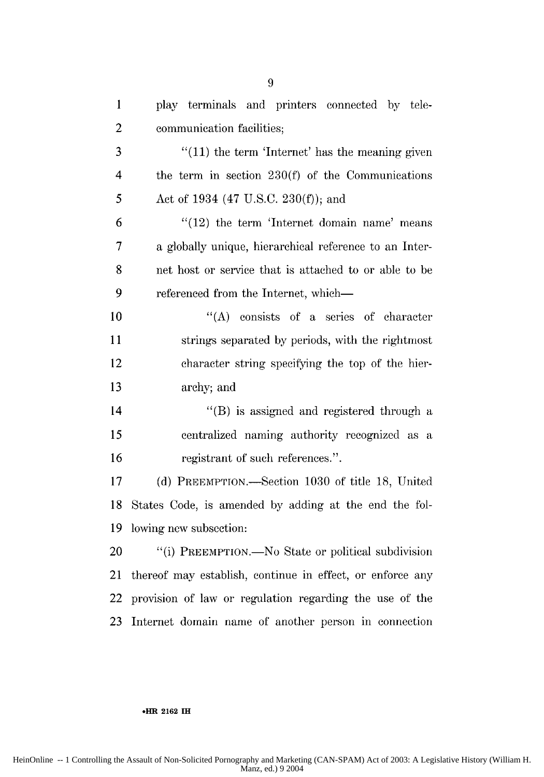| $\mathbf{1}$   | play terminals and printers connected by tele-            |
|----------------|-----------------------------------------------------------|
| $\overline{2}$ | communication facilities;                                 |
| 3              | $f'(11)$ the term 'Internet' has the meaning given        |
| 4              | the term in section $230(f)$ of the Communications        |
| 5              | Act of 1934 (47 U.S.C. 230(f)); and                       |
| 6              | $\frac{1}{2}$ the term 'Internet domain name' means       |
| $\overline{7}$ | a globally unique, hierarchical reference to an Inter-    |
| 8              | net host or service that is attached to or able to be     |
| 9              | referenced from the Internet, which—                      |
| 10             | "(A) consists of a series of character                    |
| 11             | strings separated by periods, with the rightmost          |
| 12             | character string specifying the top of the hier-          |
| 13             | archy; and                                                |
| 14             | "(B) is assigned and registered through a                 |
| 15             | centralized naming authority recognized as a              |
| 16             | registrant of such references.".                          |
| 17             | (d) PREEMPTION.—Section 1030 of title 18, United          |
| 18             | States Code, is amended by adding at the end the fol-     |
| 19             | lowing new subsection:                                    |
| 20             | "(i) PREEMPTION.—No State or political subdivision        |
| 21             | thereof may establish, continue in effect, or enforce any |
| 22             | provision of law or regulation regarding the use of the   |
| 23             | Internet domain name of another person in connection      |

#### **.HR 2162 iIH**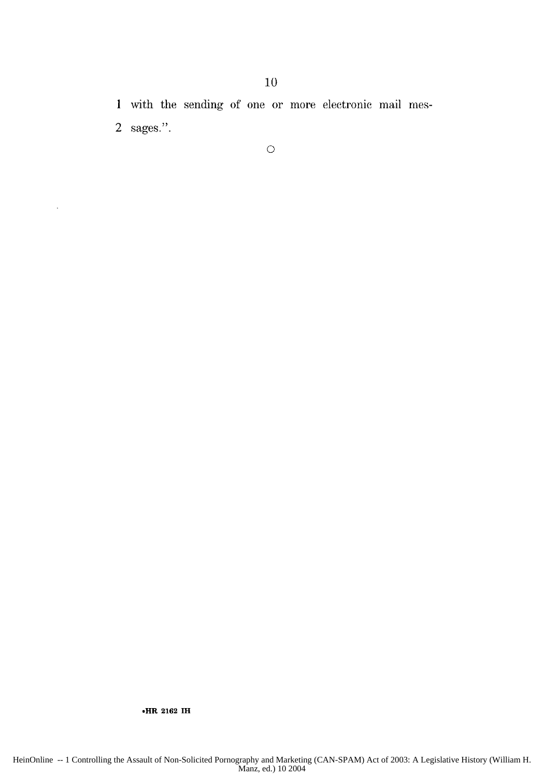1 with the sending of one or more electronic mail mes-2 sages.".

10

**.HR 2162 IH**

 $\bar{z}$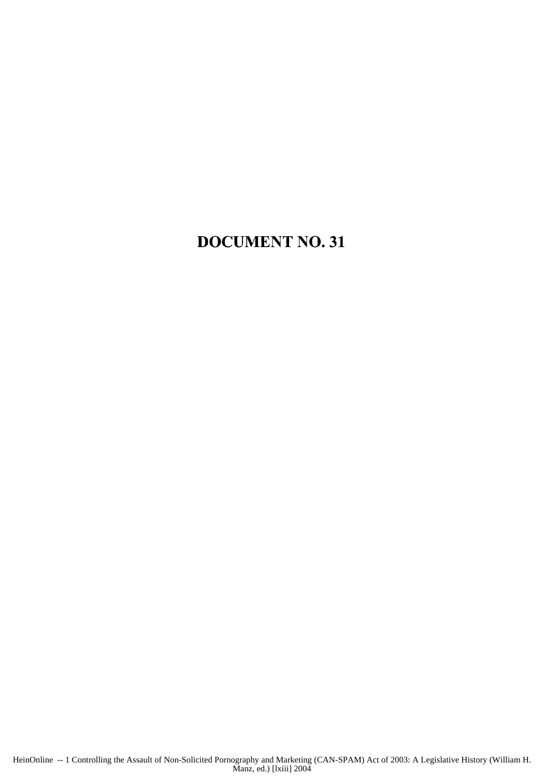### **DOCUMENT** NO. **31**